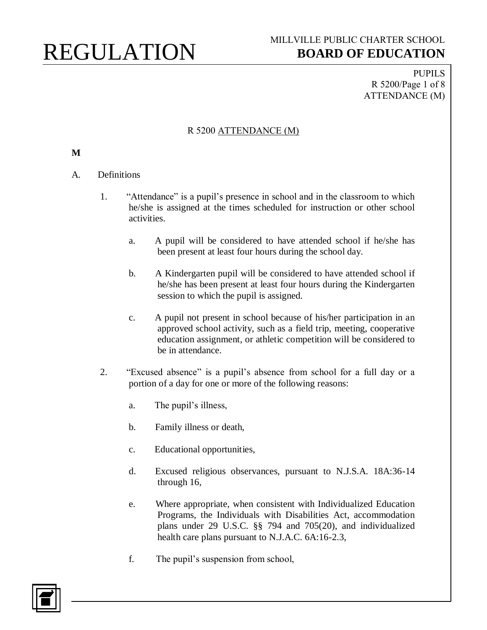PUPILS R 5200/Page 1 of 8 ATTENDANCE (M)

#### R 5200 ATTENDANCE (M)

#### **M**

#### A. Definitions

- 1. "Attendance" is a pupil's presence in school and in the classroom to which he/she is assigned at the times scheduled for instruction or other school activities.
	- a. A pupil will be considered to have attended school if he/she has been present at least four hours during the school day.
	- b. A Kindergarten pupil will be considered to have attended school if he/she has been present at least four hours during the Kindergarten session to which the pupil is assigned.
	- c. A pupil not present in school because of his/her participation in an approved school activity, such as a field trip, meeting, cooperative education assignment, or athletic competition will be considered to be in attendance.
- 2. "Excused absence" is a pupil's absence from school for a full day or a portion of a day for one or more of the following reasons:
	- a. The pupil's illness,
	- b. Family illness or death,
	- c. Educational opportunities,
	- d. Excused religious observances, pursuant to N.J.S.A. 18A:36-14 through 16,
	- e. Where appropriate, when consistent with Individualized Education Programs, the Individuals with Disabilities Act, accommodation plans under 29 U.S.C. §§ 794 and 705(20), and individualized health care plans pursuant to N.J.A.C. 6A:16-2.3,
	- f. The pupil's suspension from school,

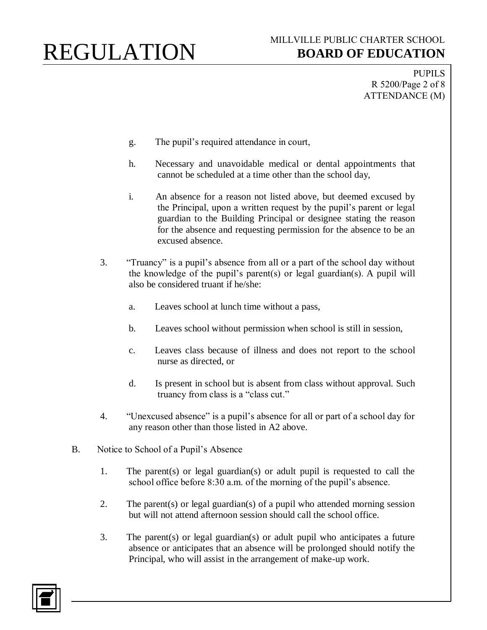PUPILS R 5200/Page 2 of 8 ATTENDANCE (M)

- g. The pupil's required attendance in court,
- h. Necessary and unavoidable medical or dental appointments that cannot be scheduled at a time other than the school day,
- i. An absence for a reason not listed above, but deemed excused by the Principal, upon a written request by the pupil's parent or legal guardian to the Building Principal or designee stating the reason for the absence and requesting permission for the absence to be an excused absence.
- 3. "Truancy" is a pupil's absence from all or a part of the school day without the knowledge of the pupil's parent(s) or legal guardian(s). A pupil will also be considered truant if he/she:
	- a. Leaves school at lunch time without a pass,
	- b. Leaves school without permission when school is still in session,
	- c. Leaves class because of illness and does not report to the school nurse as directed, or
	- d. Is present in school but is absent from class without approval. Such truancy from class is a "class cut."
- 4. "Unexcused absence" is a pupil's absence for all or part of a school day for any reason other than those listed in A2 above.
- B. Notice to School of a Pupil's Absence
	- 1. The parent(s) or legal guardian(s) or adult pupil is requested to call the school office before 8:30 a.m. of the morning of the pupil's absence.
	- 2. The parent(s) or legal guardian(s) of a pupil who attended morning session but will not attend afternoon session should call the school office.
	- 3. The parent(s) or legal guardian(s) or adult pupil who anticipates a future absence or anticipates that an absence will be prolonged should notify the Principal, who will assist in the arrangement of make-up work.

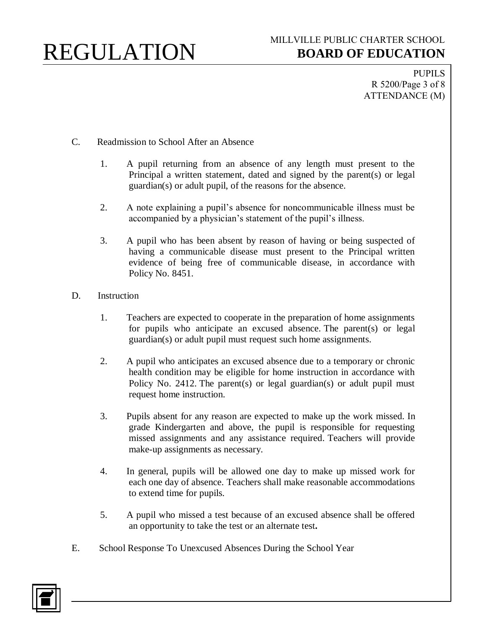PUPILS R 5200/Page 3 of 8 ATTENDANCE (M)

- C. Readmission to School After an Absence
	- 1. A pupil returning from an absence of any length must present to the Principal a written statement, dated and signed by the parent(s) or legal guardian(s) or adult pupil, of the reasons for the absence.
	- 2. A note explaining a pupil's absence for noncommunicable illness must be accompanied by a physician's statement of the pupil's illness.
	- 3. A pupil who has been absent by reason of having or being suspected of having a communicable disease must present to the Principal written evidence of being free of communicable disease, in accordance with Policy No. 8451.
- D. Instruction
	- 1. Teachers are expected to cooperate in the preparation of home assignments for pupils who anticipate an excused absence. The parent(s) or legal guardian(s) or adult pupil must request such home assignments.
	- 2. A pupil who anticipates an excused absence due to a temporary or chronic health condition may be eligible for home instruction in accordance with Policy No. 2412. The parent(s) or legal guardian(s) or adult pupil must request home instruction.
	- 3. Pupils absent for any reason are expected to make up the work missed. In grade Kindergarten and above, the pupil is responsible for requesting missed assignments and any assistance required. Teachers will provide make-up assignments as necessary.
	- 4. In general, pupils will be allowed one day to make up missed work for each one day of absence. Teachers shall make reasonable accommodations to extend time for pupils.
	- 5. A pupil who missed a test because of an excused absence shall be offered an opportunity to take the test or an alternate test**.**
- E. School Response To Unexcused Absences During the School Year

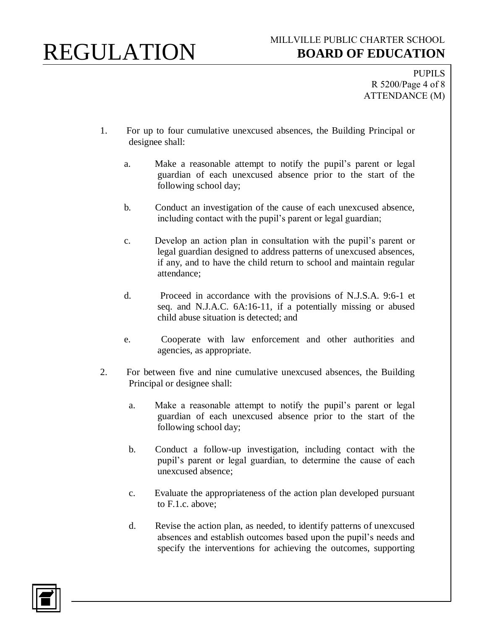PUPILS R 5200/Page 4 of 8 ATTENDANCE (M)

- 1. For up to four cumulative unexcused absences, the Building Principal or designee shall:
	- a. Make a reasonable attempt to notify the pupil's parent or legal guardian of each unexcused absence prior to the start of the following school day;
	- b. Conduct an investigation of the cause of each unexcused absence, including contact with the pupil's parent or legal guardian;
	- c. Develop an action plan in consultation with the pupil's parent or legal guardian designed to address patterns of unexcused absences, if any, and to have the child return to school and maintain regular attendance;
	- d. Proceed in accordance with the provisions of N.J.S.A. 9:6-1 et seq. and N.J.A.C. 6A:16-11, if a potentially missing or abused child abuse situation is detected; and
	- e. Cooperate with law enforcement and other authorities and agencies, as appropriate.
- 2. For between five and nine cumulative unexcused absences, the Building Principal or designee shall:
	- a. Make a reasonable attempt to notify the pupil's parent or legal guardian of each unexcused absence prior to the start of the following school day;
	- b. Conduct a follow-up investigation, including contact with the pupil's parent or legal guardian, to determine the cause of each unexcused absence;
	- c. Evaluate the appropriateness of the action plan developed pursuant to F.1.c. above;
	- d. Revise the action plan, as needed, to identify patterns of unexcused absences and establish outcomes based upon the pupil's needs and specify the interventions for achieving the outcomes, supporting

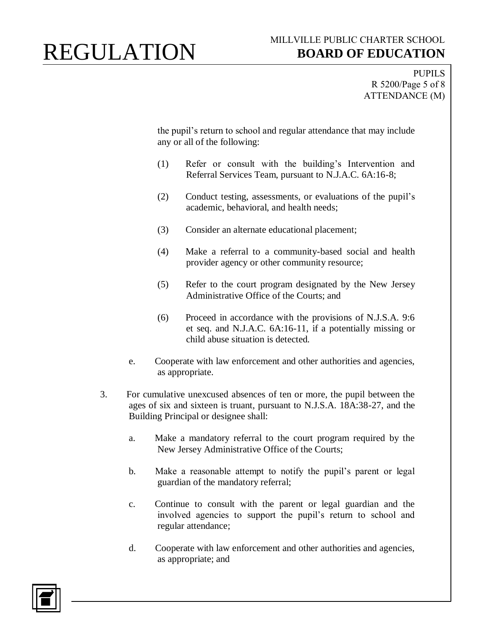PUPILS R 5200/Page 5 of 8 ATTENDANCE (M)

the pupil's return to school and regular attendance that may include any or all of the following:

- (1) Refer or consult with the building's Intervention and Referral Services Team, pursuant to N.J.A.C. 6A:16-8;
- (2) Conduct testing, assessments, or evaluations of the pupil's academic, behavioral, and health needs;
- (3) Consider an alternate educational placement;
- (4) Make a referral to a community-based social and health provider agency or other community resource;
- (5) Refer to the court program designated by the New Jersey Administrative Office of the Courts; and
- (6) Proceed in accordance with the provisions of N.J.S.A. 9:6 et seq. and N.J.A.C. 6A:16-11, if a potentially missing or child abuse situation is detected.
- e. Cooperate with law enforcement and other authorities and agencies, as appropriate.
- 3. For cumulative unexcused absences of ten or more, the pupil between the ages of six and sixteen is truant, pursuant to N.J.S.A. 18A:38-27, and the Building Principal or designee shall:
	- a. Make a mandatory referral to the court program required by the New Jersey Administrative Office of the Courts;
	- b. Make a reasonable attempt to notify the pupil's parent or legal guardian of the mandatory referral;
	- c. Continue to consult with the parent or legal guardian and the involved agencies to support the pupil's return to school and regular attendance;
	- d. Cooperate with law enforcement and other authorities and agencies, as appropriate; and

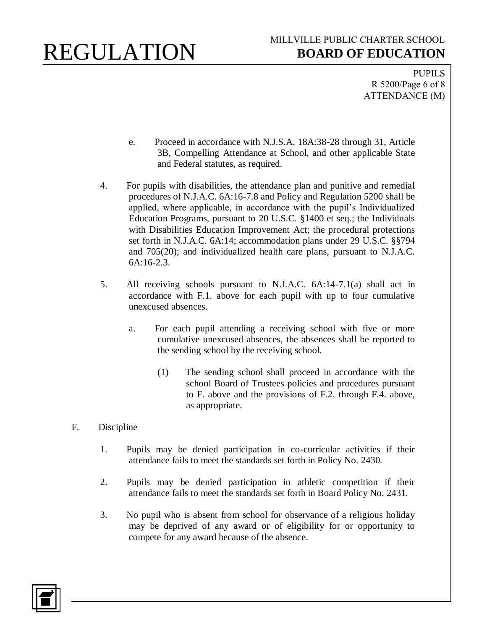PUPILS R 5200/Page 6 of 8 ATTENDANCE (M)

- e. Proceed in accordance with N.J.S.A. 18A:38-28 through 31, Article 3B, Compelling Attendance at School, and other applicable State and Federal statutes, as required.
- 4. For pupils with disabilities, the attendance plan and punitive and remedial procedures of N.J.A.C. 6A:16-7.8 and Policy and Regulation 5200 shall be applied, where applicable, in accordance with the pupil's Individualized Education Programs, pursuant to 20 U.S.C. §1400 et seq.; the Individuals with Disabilities Education Improvement Act; the procedural protections set forth in N.J.A.C. 6A:14; accommodation plans under 29 U.S.C. §§794 and 705(20); and individualized health care plans, pursuant to N.J.A.C. 6A:16-2.3.
- 5. All receiving schools pursuant to N.J.A.C. 6A:14-7.1(a) shall act in accordance with F.1. above for each pupil with up to four cumulative unexcused absences.
	- a. For each pupil attending a receiving school with five or more cumulative unexcused absences, the absences shall be reported to the sending school by the receiving school.
		- (1) The sending school shall proceed in accordance with the school Board of Trustees policies and procedures pursuant to F. above and the provisions of F.2. through F.4. above, as appropriate.
- F. Discipline
	- 1. Pupils may be denied participation in co-curricular activities if their attendance fails to meet the standards set forth in Policy No. 2430.
	- 2. Pupils may be denied participation in athletic competition if their attendance fails to meet the standards set forth in Board Policy No. 2431.
	- 3. No pupil who is absent from school for observance of a religious holiday may be deprived of any award or of eligibility for or opportunity to compete for any award because of the absence.

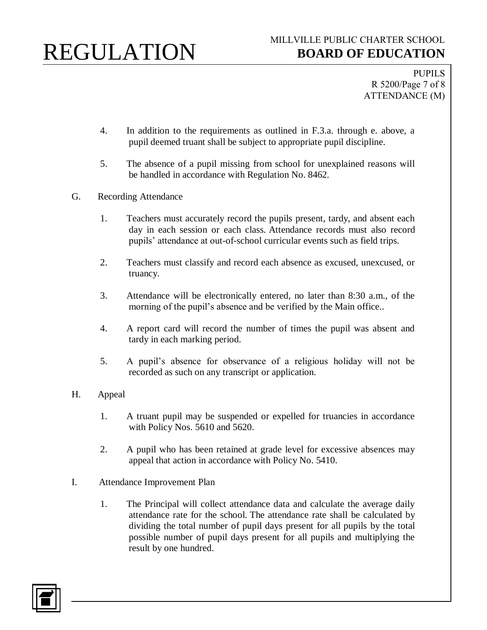PUPILS R 5200/Page 7 of 8 ATTENDANCE (M)

- 4. In addition to the requirements as outlined in F.3.a. through e. above, a pupil deemed truant shall be subject to appropriate pupil discipline.
- 5. The absence of a pupil missing from school for unexplained reasons will be handled in accordance with Regulation No. 8462.
- G. Recording Attendance
	- 1. Teachers must accurately record the pupils present, tardy, and absent each day in each session or each class. Attendance records must also record pupils' attendance at out-of-school curricular events such as field trips.
	- 2. Teachers must classify and record each absence as excused, unexcused, or truancy.
	- 3. Attendance will be electronically entered, no later than 8:30 a.m., of the morning of the pupil's absence and be verified by the Main office..
	- 4. A report card will record the number of times the pupil was absent and tardy in each marking period.
	- 5. A pupil's absence for observance of a religious holiday will not be recorded as such on any transcript or application.
- H. Appeal
	- 1. A truant pupil may be suspended or expelled for truancies in accordance with Policy Nos. 5610 and 5620.
	- 2. A pupil who has been retained at grade level for excessive absences may appeal that action in accordance with Policy No. 5410.
- I. Attendance Improvement Plan
	- 1. The Principal will collect attendance data and calculate the average daily attendance rate for the school. The attendance rate shall be calculated by dividing the total number of pupil days present for all pupils by the total possible number of pupil days present for all pupils and multiplying the result by one hundred.